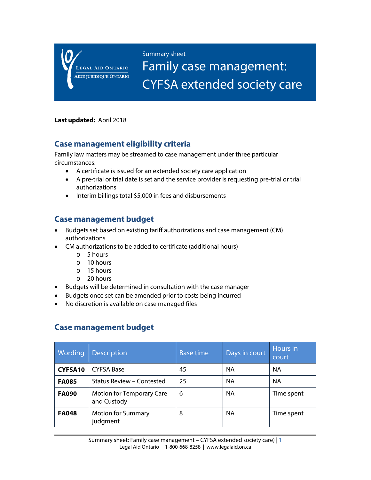LEGAL AID ONTARIO **AIDE JURIDIQUE ONTARIO**  Summary sheet

Family case management: CYFSA extended society care

#### **Last updated:** April 2018

#### **Case management eligibility criteria**

Family law matters may be streamed to case management under three particular circumstances:

- A certificate is issued for an extended society care application
- A pre-trial or trial date is set and the service provider is requesting pre-trial or trial authorizations
- Interim billings total \$5,000 in fees and disbursements

## **Case management budget**

- Budgets set based on existing tariff authorizations and case management (CM) authorizations
- CM authorizations to be added to certificate (additional hours)
	- o 5 hours
	- o 10 hours
	- o 15 hours
	- o 20 hours
- Budgets will be determined in consultation with the case manager
- Budgets once set can be amended prior to costs being incurred
- No discretion is available on case managed files

## **Case management budget**

| Wording      | <b>Description</b>                       | <b>Base time</b> | Days in court | Hours in<br>court |
|--------------|------------------------------------------|------------------|---------------|-------------------|
| CYFSA10      | <b>CYFSA Base</b>                        | 45               | <b>NA</b>     | <b>NA</b>         |
| <b>FA085</b> | Status Review - Contested                | 25               | <b>NA</b>     | <b>NA</b>         |
| <b>FA090</b> | Motion for Temporary Care<br>and Custody | 6                | <b>NA</b>     | Time spent        |
| <b>FA048</b> | <b>Motion for Summary</b><br>judgment    | 8                | <b>NA</b>     | Time spent        |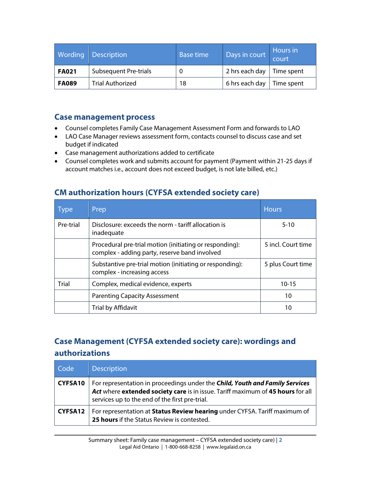| Wording      | <b>Description</b>      | <b>Base time</b> | Days in court                     | Hours in   |
|--------------|-------------------------|------------------|-----------------------------------|------------|
| <b>FA021</b> | Subsequent Pre-trials   | 0                | 2 hrs each day $\vert$ Time spent |            |
| <b>FA089</b> | <b>Trial Authorized</b> | 18               | 6 hrs each day                    | Time spent |

#### **Case management process**

- Counsel completes Family Case Management Assessment Form and forwards to LAO
- LAO Case Manager reviews assessment form, contacts counsel to discuss case and set budget if indicated
- Case management authorizations added to certificate
- Counsel completes work and submits account for payment (Payment within 21-25 days if account matches i.e., account does not exceed budget, is not late billed, etc.)

| <b>Type</b>  | Prep                                                                                                     | <b>Hours</b>       |
|--------------|----------------------------------------------------------------------------------------------------------|--------------------|
| Pre-trial    | Disclosure: exceeds the norm - tariff allocation is<br>inadequate                                        | $5 - 10$           |
|              | Procedural pre-trial motion (initiating or responding):<br>complex - adding party, reserve band involved | 5 incl. Court time |
|              | Substantive pre-trial motion (initiating or responding):<br>complex - increasing access                  | 5 plus Court time  |
| <b>Trial</b> | Complex, medical evidence, experts                                                                       | $10 - 15$          |
|              | <b>Parenting Capacity Assessment</b>                                                                     | 10                 |
|              | Trial by Affidavit                                                                                       | 10                 |

# **CM authorization hours (CYFSA extended society care)**

# **Case Management (CYFSA extended society care): wordings and authorizations**

| Code           | <b>Description</b>                                                                                                                                                                                                |
|----------------|-------------------------------------------------------------------------------------------------------------------------------------------------------------------------------------------------------------------|
| <b>CYFSA10</b> | For representation in proceedings under the Child, Youth and Family Services<br>Act where extended society care is in issue. Tariff maximum of 45 hours for all<br>services up to the end of the first pre-trial. |
| CYFSA12        | For representation at Status Review hearing under CYFSA. Tariff maximum of<br>25 hours if the Status Review is contested.                                                                                         |

Summary sheet: Family case management – CYFSA extended society care) | **2** Legal Aid Ontario | 1-800-668-8258 | www.legalaid.on.ca